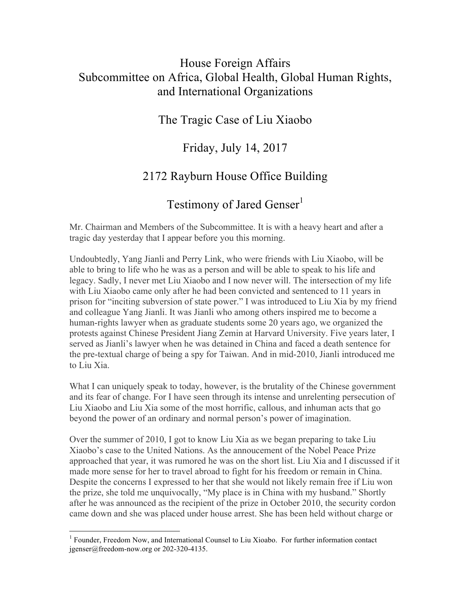### House Foreign Affairs Subcommittee on Africa, Global Health, Global Human Rights, and International Organizations

### The Tragic Case of Liu Xiaobo

### Friday, July 14, 2017

# 2172 Rayburn House Office Building

# Testimony of Jared Genser<sup>1</sup>

Mr. Chairman and Members of the Subcommittee. It is with a heavy heart and after a tragic day yesterday that I appear before you this morning.

Undoubtedly, Yang Jianli and Perry Link, who were friends with Liu Xiaobo, will be able to bring to life who he was as a person and will be able to speak to his life and legacy. Sadly, I never met Liu Xiaobo and I now never will. The intersection of my life with Liu Xiaobo came only after he had been convicted and sentenced to 11 years in prison for "inciting subversion of state power." I was introduced to Liu Xia by my friend and colleague Yang Jianli. It was Jianli who among others inspired me to become a human-rights lawyer when as graduate students some 20 years ago, we organized the protests against Chinese President Jiang Zemin at Harvard University. Five years later, I served as Jianli's lawyer when he was detained in China and faced a death sentence for the pre-textual charge of being a spy for Taiwan. And in mid-2010, Jianli introduced me to Liu Xia.

What I can uniquely speak to today, however, is the brutality of the Chinese government and its fear of change. For I have seen through its intense and unrelenting persecution of Liu Xiaobo and Liu Xia some of the most horrific, callous, and inhuman acts that go beyond the power of an ordinary and normal person's power of imagination.

Over the summer of 2010, I got to know Liu Xia as we began preparing to take Liu Xiaobo's case to the United Nations. As the annoucement of the Nobel Peace Prize approached that year, it was rumored he was on the short list. Liu Xia and I discussed if it made more sense for her to travel abroad to fight for his freedom or remain in China. Despite the concerns I expressed to her that she would not likely remain free if Liu won the prize, she told me unquivocally, "My place is in China with my husband." Shortly after he was announced as the recipient of the prize in October 2010, the security cordon came down and she was placed under house arrest. She has been held without charge or

 <sup>1</sup> Founder, Freedom Now, and International Counsel to Liu Xioabo. For further information contact jgenser@freedom-now.org or 202-320-4135.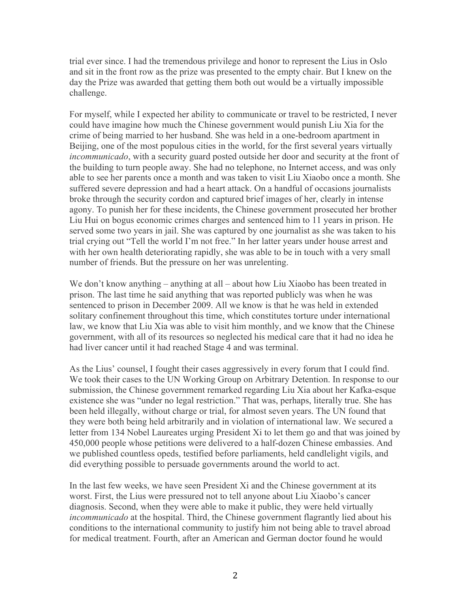trial ever since. I had the tremendous privilege and honor to represent the Lius in Oslo and sit in the front row as the prize was presented to the empty chair. But I knew on the day the Prize was awarded that getting them both out would be a virtually impossible challenge.

For myself, while I expected her ability to communicate or travel to be restricted, I never could have imagine how much the Chinese government would punish Liu Xia for the crime of being married to her husband. She was held in a one-bedroom apartment in Beijing, one of the most populous cities in the world, for the first several years virtually *incommunicado*, with a security guard posted outside her door and security at the front of the building to turn people away. She had no telephone, no Internet access, and was only able to see her parents once a month and was taken to visit Liu Xiaobo once a month. She suffered severe depression and had a heart attack. On a handful of occasions journalists broke through the security cordon and captured brief images of her, clearly in intense agony. To punish her for these incidents, the Chinese government prosecuted her brother Liu Hui on bogus economic crimes charges and sentenced him to 11 years in prison. He served some two years in jail. She was captured by one journalist as she was taken to his trial crying out "Tell the world I'm not free." In her latter years under house arrest and with her own health deteriorating rapidly, she was able to be in touch with a very small number of friends. But the pressure on her was unrelenting.

We don't know anything – anything at all – about how Liu Xiaobo has been treated in prison. The last time he said anything that was reported publicly was when he was sentenced to prison in December 2009. All we know is that he was held in extended solitary confinement throughout this time, which constitutes torture under international law, we know that Liu Xia was able to visit him monthly, and we know that the Chinese government, with all of its resources so neglected his medical care that it had no idea he had liver cancer until it had reached Stage 4 and was terminal.

As the Lius' counsel, I fought their cases aggressively in every forum that I could find. We took their cases to the UN Working Group on Arbitrary Detention. In response to our submission, the Chinese government remarked regarding Liu Xia about her Kafka-esque existence she was "under no legal restriction." That was, perhaps, literally true. She has been held illegally, without charge or trial, for almost seven years. The UN found that they were both being held arbitrarily and in violation of international law. We secured a letter from 134 Nobel Laureates urging President Xi to let them go and that was joined by 450,000 people whose petitions were delivered to a half-dozen Chinese embassies. And we published countless opeds, testified before parliaments, held candlelight vigils, and did everything possible to persuade governments around the world to act.

In the last few weeks, we have seen President Xi and the Chinese government at its worst. First, the Lius were pressured not to tell anyone about Liu Xiaobo's cancer diagnosis. Second, when they were able to make it public, they were held virtually *incommunicado* at the hospital. Third, the Chinese government flagrantly lied about his conditions to the international community to justify him not being able to travel abroad for medical treatment. Fourth, after an American and German doctor found he would